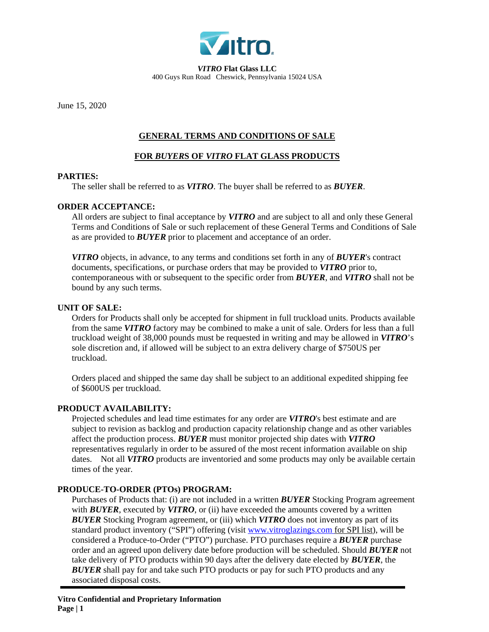

*VITRO* **Flat Glass LLC** 400 Guys Run Road Cheswick, Pennsylvania 15024 USA

June 15, 2020

# **GENERAL TERMS AND CONDITIONS OF SALE**

# **FOR** *BUYER***S OF** *VITRO* **FLAT GLASS PRODUCTS**

#### **PARTIES:**

The seller shall be referred to as *VITRO*. The buyer shall be referred to as *BUYER*.

## **ORDER ACCEPTANCE:**

All orders are subject to final acceptance by *VITRO* and are subject to all and only these General Terms and Conditions of Sale or such replacement of these General Terms and Conditions of Sale as are provided to *BUYER* prior to placement and acceptance of an order.

*VITRO* objects, in advance, to any terms and conditions set forth in any of *BUYER*'s contract documents, specifications, or purchase orders that may be provided to *VITRO* prior to, contemporaneous with or subsequent to the specific order from *BUYER*, and *VITRO* shall not be bound by any such terms.

#### **UNIT OF SALE:**

Orders for Products shall only be accepted for shipment in full truckload units. Products available from the same *VITRO* factory may be combined to make a unit of sale. Orders for less than a full truckload weight of 38,000 pounds must be requested in writing and may be allowed in *VITRO*'s sole discretion and, if allowed will be subject to an extra delivery charge of \$750US per truckload.

Orders placed and shipped the same day shall be subject to an additional expedited shipping fee of \$600US per truckload.

## **PRODUCT AVAILABILITY:**

Projected schedules and lead time estimates for any order are *VITRO*'s best estimate and are subject to revision as backlog and production capacity relationship change and as other variables affect the production process. *BUYER* must monitor projected ship dates with *VITRO* representatives regularly in order to be assured of the most recent information available on ship dates. Not all *VITRO* products are inventoried and some products may only be available certain times of the year.

## **PRODUCE-TO-ORDER (PTOs) PROGRAM:**

Purchases of Products that: (i) are not included in a written *BUYER* Stocking Program agreement with *BUYER*, executed by *VITRO*, or (ii) have exceeded the amounts covered by a written *BUYER* Stocking Program agreement, or (iii) which *VITRO* does not inventory as part of its standard product inventory ("SPI") offering (visit [www.vitroglazings.com](http://www.vitroglazings.com/) for SPI list), will be considered a Produce-to-Order ("PTO") purchase. PTO purchases require a *BUYER* purchase order and an agreed upon delivery date before production will be scheduled. Should *BUYER* not take delivery of PTO products within 90 days after the delivery date elected by *BUYER*, the *BUYER* shall pay for and take such PTO products or pay for such PTO products and any associated disposal costs.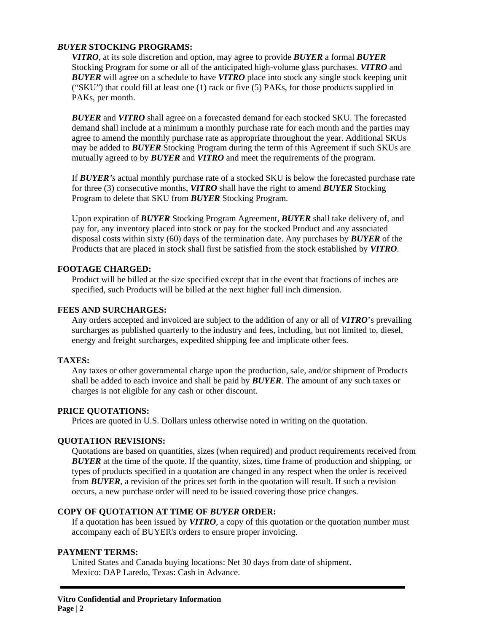## *BUYER* **STOCKING PROGRAMS:**

*VITRO*, at its sole discretion and option, may agree to provide *BUYER* a formal *BUYER* Stocking Program for some or all of the anticipated high-volume glass purchases. *VITRO* and *BUYER* will agree on a schedule to have *VITRO* place into stock any single stock keeping unit ("SKU") that could fill at least one (1) rack or five (5) PAKs, for those products supplied in PAKs, per month.

*BUYER* and *VITRO* shall agree on a forecasted demand for each stocked SKU. The forecasted demand shall include at a minimum a monthly purchase rate for each month and the parties may agree to amend the monthly purchase rate as appropriate throughout the year. Additional SKUs may be added to *BUYER* Stocking Program during the term of this Agreement if such SKUs are mutually agreed to by *BUYER* and *VITRO* and meet the requirements of the program.

If *BUYER's* actual monthly purchase rate of a stocked SKU is below the forecasted purchase rate for three (3) consecutive months, *VITRO* shall have the right to amend *BUYER* Stocking Program to delete that SKU from *BUYER* Stocking Program.

Upon expiration of *BUYER* Stocking Program Agreement, *BUYER* shall take delivery of, and pay for, any inventory placed into stock or pay for the stocked Product and any associated disposal costs within sixty (60) days of the termination date. Any purchases by *BUYER* of the Products that are placed in stock shall first be satisfied from the stock established by *VITRO*.

# **FOOTAGE CHARGED:**

Product will be billed at the size specified except that in the event that fractions of inches are specified, such Products will be billed at the next higher full inch dimension.

# **FEES AND SURCHARGES:**

Any orders accepted and invoiced are subject to the addition of any or all of *VITRO*'s prevailing surcharges as published quarterly to the industry and fees, including, but not limited to, diesel, energy and freight surcharges, expedited shipping fee and implicate other fees.

## **TAXES:**

Any taxes or other governmental charge upon the production, sale, and/or shipment of Products shall be added to each invoice and shall be paid by *BUYER*. The amount of any such taxes or charges is not eligible for any cash or other discount.

# **PRICE QUOTATIONS:**

Prices are quoted in U.S. Dollars unless otherwise noted in writing on the quotation.

# **QUOTATION REVISIONS:**

Quotations are based on quantities, sizes (when required) and product requirements received from **BUYER** at the time of the quote. If the quantity, sizes, time frame of production and shipping, or types of products specified in a quotation are changed in any respect when the order is received from *BUYER*, a revision of the prices set forth in the quotation will result. If such a revision occurs, a new purchase order will need to be issued covering those price changes.

# **COPY OF QUOTATION AT TIME OF** *BUYER* **ORDER:**

If a quotation has been issued by *VITRO*, a copy of this quotation or the quotation number must accompany each of BUYER's orders to ensure proper invoicing.

## **PAYMENT TERMS:**

United States and Canada buying locations: Net 30 days from date of shipment. Mexico: DAP Laredo, Texas: Cash in Advance.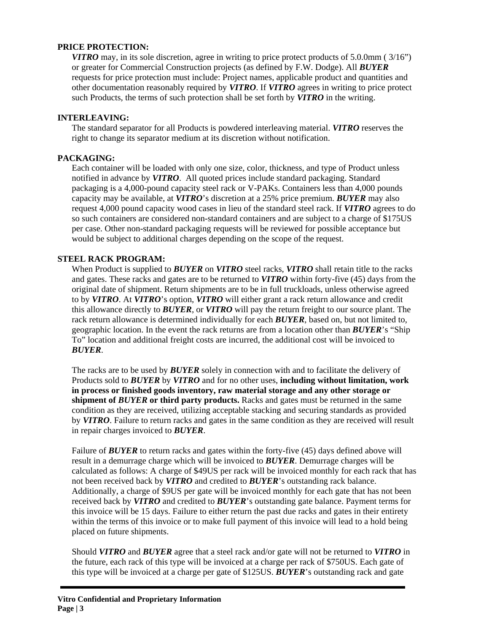## **PRICE PROTECTION:**

*VITRO* may, in its sole discretion, agree in writing to price protect products of 5.0.0mm (3/16") or greater for Commercial Construction projects (as defined by F.W. Dodge). All *BUYER* requests for price protection must include: Project names, applicable product and quantities and other documentation reasonably required by *VITRO*. If *VITRO* agrees in writing to price protect such Products, the terms of such protection shall be set forth by *VITRO* in the writing.

# **INTERLEAVING:**

The standard separator for all Products is powdered interleaving material. *VITRO* reserves the right to change its separator medium at its discretion without notification.

# **PACKAGING:**

Each container will be loaded with only one size, color, thickness, and type of Product unless notified in advance by *VITRO*. All quoted prices include standard packaging. Standard packaging is a 4,000-pound capacity steel rack or V-PAKs. Containers less than 4,000 pounds capacity may be available, at *VITRO*'s discretion at a 25% price premium. *BUYER* may also request 4,000 pound capacity wood cases in lieu of the standard steel rack. If *VITRO* agrees to do so such containers are considered non-standard containers and are subject to a charge of \$175US per case. Other non-standard packaging requests will be reviewed for possible acceptance but would be subject to additional charges depending on the scope of the request.

# **STEEL RACK PROGRAM:**

When Product is supplied to *BUYER* on *VITRO* steel racks, *VITRO* shall retain title to the racks and gates. These racks and gates are to be returned to *VITRO* within forty-five (45) days from the original date of shipment. Return shipments are to be in full truckloads, unless otherwise agreed to by *VITRO*. At *VITRO*'s option, *VITRO* will either grant a rack return allowance and credit this allowance directly to *BUYER*, or *VITRO* will pay the return freight to our source plant. The rack return allowance is determined individually for each *BUYER*, based on, but not limited to, geographic location. In the event the rack returns are from a location other than *BUYER*'s "Ship To" location and additional freight costs are incurred, the additional cost will be invoiced to *BUYER*.

The racks are to be used by *BUYER* solely in connection with and to facilitate the delivery of Products sold to *BUYER* by *VITRO* and for no other uses, **including without limitation, work in process or finished goods inventory, raw material storage and any other storage or shipment of** *BUYER* **or third party products.** Racks and gates must be returned in the same condition as they are received, utilizing acceptable stacking and securing standards as provided by *VITRO*. Failure to return racks and gates in the same condition as they are received will result in repair charges invoiced to *BUYER*.

Failure of **BUYER** to return racks and gates within the forty-five (45) days defined above will result in a demurrage charge which will be invoiced to *BUYER*. Demurrage charges will be calculated as follows: A charge of \$49US per rack will be invoiced monthly for each rack that has not been received back by *VITRO* and credited to *BUYER*'s outstanding rack balance. Additionally, a charge of \$9US per gate will be invoiced monthly for each gate that has not been received back by *VITRO* and credited to *BUYER*'s outstanding gate balance. Payment terms for this invoice will be 15 days. Failure to either return the past due racks and gates in their entirety within the terms of this invoice or to make full payment of this invoice will lead to a hold being placed on future shipments.

Should *VITRO* and *BUYER* agree that a steel rack and/or gate will not be returned to *VITRO* in the future, each rack of this type will be invoiced at a charge per rack of \$750US. Each gate of this type will be invoiced at a charge per gate of \$125US. *BUYER*'s outstanding rack and gate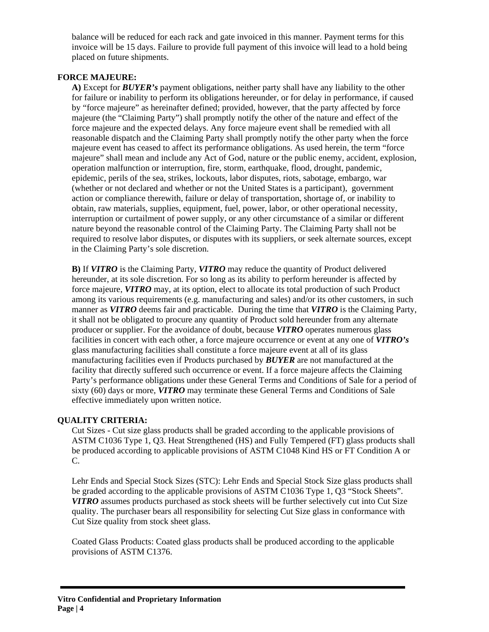balance will be reduced for each rack and gate invoiced in this manner. Payment terms for this invoice will be 15 days. Failure to provide full payment of this invoice will lead to a hold being placed on future shipments.

# **FORCE MAJEURE:**

**A)** Except for *BUYER's* payment obligations, neither party shall have any liability to the other for failure or inability to perform its obligations hereunder, or for delay in performance, if caused by "force majeure" as hereinafter defined; provided, however, that the party affected by force majeure (the "Claiming Party") shall promptly notify the other of the nature and effect of the force majeure and the expected delays. Any force majeure event shall be remedied with all reasonable dispatch and the Claiming Party shall promptly notify the other party when the force majeure event has ceased to affect its performance obligations. As used herein, the term "force majeure" shall mean and include any Act of God, nature or the public enemy, accident, explosion, operation malfunction or interruption, fire, storm, earthquake, flood, drought, pandemic, epidemic, perils of the sea, strikes, lockouts, labor disputes, riots, sabotage, embargo, war (whether or not declared and whether or not the United States is a participant), government action or compliance therewith, failure or delay of transportation, shortage of, or inability to obtain, raw materials, supplies, equipment, fuel, power, labor, or other operational necessity, interruption or curtailment of power supply, or any other circumstance of a similar or different nature beyond the reasonable control of the Claiming Party. The Claiming Party shall not be required to resolve labor disputes, or disputes with its suppliers, or seek alternate sources, except in the Claiming Party's sole discretion.

**B)** If *VITRO* is the Claiming Party, *VITRO* may reduce the quantity of Product delivered hereunder, at its sole discretion. For so long as its ability to perform hereunder is affected by force majeure, *VITRO* may, at its option, elect to allocate its total production of such Product among its various requirements (e.g. manufacturing and sales) and/or its other customers, in such manner as *VITRO* deems fair and practicable. During the time that *VITRO* is the Claiming Party, it shall not be obligated to procure any quantity of Product sold hereunder from any alternate producer or supplier. For the avoidance of doubt, because *VITRO* operates numerous glass facilities in concert with each other, a force majeure occurrence or event at any one of *VITRO's* glass manufacturing facilities shall constitute a force majeure event at all of its glass manufacturing facilities even if Products purchased by *BUYER* are not manufactured at the facility that directly suffered such occurrence or event. If a force majeure affects the Claiming Party's performance obligations under these General Terms and Conditions of Sale for a period of sixty (60) days or more, *VITRO* may terminate these General Terms and Conditions of Sale effective immediately upon written notice.

## **QUALITY CRITERIA:**

Cut Sizes - Cut size glass products shall be graded according to the applicable provisions of ASTM C1036 Type 1, Q3. Heat Strengthened (HS) and Fully Tempered (FT) glass products shall be produced according to applicable provisions of ASTM C1048 Kind HS or FT Condition A or C.

Lehr Ends and Special Stock Sizes (STC): Lehr Ends and Special Stock Size glass products shall be graded according to the applicable provisions of ASTM C1036 Type 1, Q3 "Stock Sheets". *VITRO* assumes products purchased as stock sheets will be further selectively cut into Cut Size quality. The purchaser bears all responsibility for selecting Cut Size glass in conformance with Cut Size quality from stock sheet glass.

Coated Glass Products: Coated glass products shall be produced according to the applicable provisions of ASTM C1376.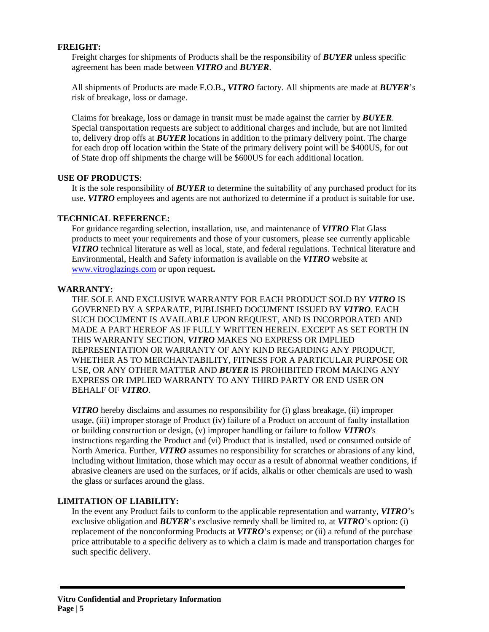# **FREIGHT:**

Freight charges for shipments of Products shall be the responsibility of *BUYER* unless specific agreement has been made between *VITRO* and *BUYER*.

All shipments of Products are made F.O.B., *VITRO* factory. All shipments are made at *BUYER*'s risk of breakage, loss or damage.

Claims for breakage, loss or damage in transit must be made against the carrier by *BUYER*. Special transportation requests are subject to additional charges and include, but are not limited to, delivery drop offs at *BUYER* locations in addition to the primary delivery point. The charge for each drop off location within the State of the primary delivery point will be \$400US, for out of State drop off shipments the charge will be \$600US for each additional location.

## **USE OF PRODUCTS**:

It is the sole responsibility of *BUYER* to determine the suitability of any purchased product for its use. *VITRO* employees and agents are not authorized to determine if a product is suitable for use.

#### **TECHNICAL REFERENCE:**

For guidance regarding selection, installation, use, and maintenance of *VITRO* Flat Glass products to meet your requirements and those of your customers, please see currently applicable *VITRO* technical literature as well as local, state, and federal regulations. Technical literature and Environmental, Health and Safety information is available on the *VITRO* website at [www.vitroglazings.com](http://www.vitroglazings.com/) or upon request**.**

## **WARRANTY:**

THE SOLE AND EXCLUSIVE WARRANTY FOR EACH PRODUCT SOLD BY *VITRO* IS GOVERNED BY A SEPARATE, PUBLISHED DOCUMENT ISSUED BY *VITRO*. EACH SUCH DOCUMENT IS AVAILABLE UPON REQUEST, AND IS INCORPORATED AND MADE A PART HEREOF AS IF FULLY WRITTEN HEREIN. EXCEPT AS SET FORTH IN THIS WARRANTY SECTION, *VITRO* MAKES NO EXPRESS OR IMPLIED REPRESENTATION OR WARRANTY OF ANY KIND REGARDING ANY PRODUCT, WHETHER AS TO MERCHANTABILITY, FITNESS FOR A PARTICULAR PURPOSE OR USE, OR ANY OTHER MATTER AND *BUYER* IS PROHIBITED FROM MAKING ANY EXPRESS OR IMPLIED WARRANTY TO ANY THIRD PARTY OR END USER ON BEHALF OF *VITRO*.

*VITRO* hereby disclaims and assumes no responsibility for (i) glass breakage, (ii) improper usage, (iii) improper storage of Product (iv) failure of a Product on account of faulty installation or building construction or design, (v) improper handling or failure to follow *VITRO*'s instructions regarding the Product and (vi) Product that is installed, used or consumed outside of North America. Further, *VITRO* assumes no responsibility for scratches or abrasions of any kind, including without limitation, those which may occur as a result of abnormal weather conditions, if abrasive cleaners are used on the surfaces, or if acids, alkalis or other chemicals are used to wash the glass or surfaces around the glass.

## **LIMITATION OF LIABILITY:**

In the event any Product fails to conform to the applicable representation and warranty, *VITRO*'s exclusive obligation and *BUYER*'s exclusive remedy shall be limited to, at *VITRO*'s option: (i) replacement of the nonconforming Products at *VITRO*'s expense; or (ii) a refund of the purchase price attributable to a specific delivery as to which a claim is made and transportation charges for such specific delivery.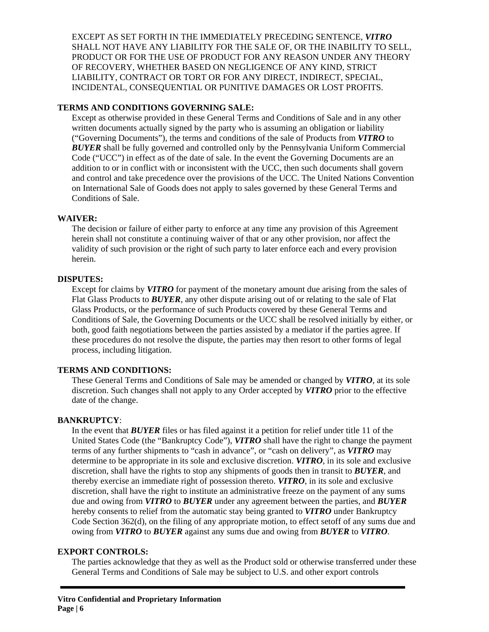EXCEPT AS SET FORTH IN THE IMMEDIATELY PRECEDING SENTENCE, *VITRO* SHALL NOT HAVE ANY LIABILITY FOR THE SALE OF, OR THE INABILITY TO SELL, PRODUCT OR FOR THE USE OF PRODUCT FOR ANY REASON UNDER ANY THEORY OF RECOVERY, WHETHER BASED ON NEGLIGENCE OF ANY KIND, STRICT LIABILITY, CONTRACT OR TORT OR FOR ANY DIRECT, INDIRECT, SPECIAL, INCIDENTAL, CONSEQUENTIAL OR PUNITIVE DAMAGES OR LOST PROFITS.

# **TERMS AND CONDITIONS GOVERNING SALE:**

Except as otherwise provided in these General Terms and Conditions of Sale and in any other written documents actually signed by the party who is assuming an obligation or liability ("Governing Documents"), the terms and conditions of the sale of Products from *VITRO* to *BUYER* shall be fully governed and controlled only by the Pennsylvania Uniform Commercial Code ("UCC") in effect as of the date of sale. In the event the Governing Documents are an addition to or in conflict with or inconsistent with the UCC, then such documents shall govern and control and take precedence over the provisions of the UCC. The United Nations Convention on International Sale of Goods does not apply to sales governed by these General Terms and Conditions of Sale.

## **WAIVER:**

The decision or failure of either party to enforce at any time any provision of this Agreement herein shall not constitute a continuing waiver of that or any other provision, nor affect the validity of such provision or the right of such party to later enforce each and every provision herein.

# **DISPUTES:**

Except for claims by *VITRO* for payment of the monetary amount due arising from the sales of Flat Glass Products to *BUYER*, any other dispute arising out of or relating to the sale of Flat Glass Products, or the performance of such Products covered by these General Terms and Conditions of Sale, the Governing Documents or the UCC shall be resolved initially by either, or both, good faith negotiations between the parties assisted by a mediator if the parties agree. If these procedures do not resolve the dispute, the parties may then resort to other forms of legal process, including litigation.

## **TERMS AND CONDITIONS:**

These General Terms and Conditions of Sale may be amended or changed by *VITRO*, at its sole discretion. Such changes shall not apply to any Order accepted by *VITRO* prior to the effective date of the change.

## **BANKRUPTCY**:

In the event that *BUYER* files or has filed against it a petition for relief under title 11 of the United States Code (the "Bankruptcy Code"), *VITRO* shall have the right to change the payment terms of any further shipments to "cash in advance", or "cash on delivery", as *VITRO* may determine to be appropriate in its sole and exclusive discretion. *VITRO*, in its sole and exclusive discretion, shall have the rights to stop any shipments of goods then in transit to *BUYER*, and thereby exercise an immediate right of possession thereto. *VITRO*, in its sole and exclusive discretion, shall have the right to institute an administrative freeze on the payment of any sums due and owing from *VITRO* to *BUYER* under any agreement between the parties, and *BUYER* hereby consents to relief from the automatic stay being granted to *VITRO* under Bankruptcy Code Section 362(d), on the filing of any appropriate motion, to effect setoff of any sums due and owing from *VITRO* to *BUYER* against any sums due and owing from *BUYER* to *VITRO*.

## **EXPORT CONTROLS:**

The parties acknowledge that they as well as the Product sold or otherwise transferred under these General Terms and Conditions of Sale may be subject to U.S. and other export controls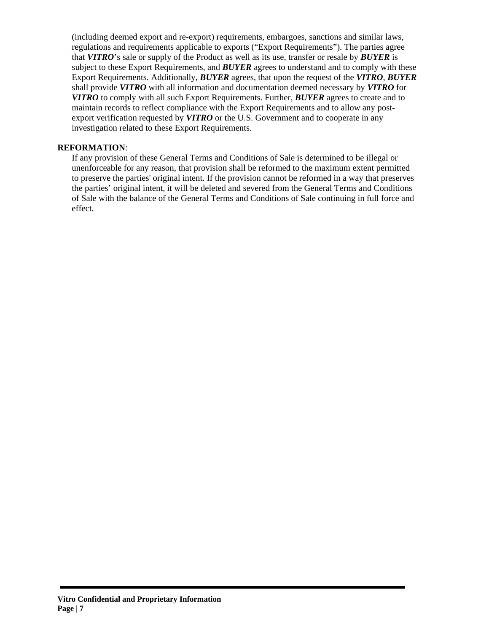(including deemed export and re-export) requirements, embargoes, sanctions and similar laws, regulations and requirements applicable to exports ("Export Requirements"). The parties agree that *VITRO*'s sale or supply of the Product as well as its use, transfer or resale by *BUYER* is subject to these Export Requirements, and *BUYER* agrees to understand and to comply with these Export Requirements. Additionally, *BUYER* agrees, that upon the request of the *VITRO*, *BUYER* shall provide *VITRO* with all information and documentation deemed necessary by *VITRO* for *VITRO* to comply with all such Export Requirements. Further, *BUYER* agrees to create and to maintain records to reflect compliance with the Export Requirements and to allow any postexport verification requested by *VITRO* or the U.S. Government and to cooperate in any investigation related to these Export Requirements.

# **REFORMATION**:

If any provision of these General Terms and Conditions of Sale is determined to be illegal or unenforceable for any reason, that provision shall be reformed to the maximum extent permitted to preserve the parties' original intent. If the provision cannot be reformed in a way that preserves the parties' original intent, it will be deleted and severed from the General Terms and Conditions of Sale with the balance of the General Terms and Conditions of Sale continuing in full force and effect.